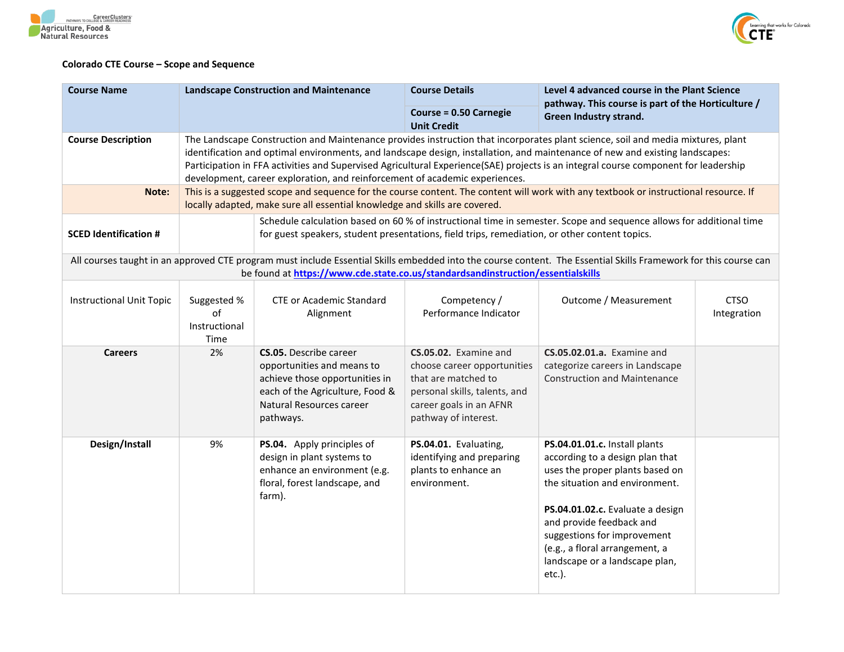



## **Colorado CTE Course – Scope and Sequence**

| <b>Course Name</b>                                                                                                                                                                                                                                  | <b>Landscape Construction and Maintenance</b>                                                                                                                                                                                                                                                                                                                                                                                                                                         |                                                                                                                                                                           | <b>Course Details</b>                                                                                                                                           | Level 4 advanced course in the Plant Science<br>pathway. This course is part of the Horticulture /<br>Green Industry strand.                                                                                                                                                                                       |                            |
|-----------------------------------------------------------------------------------------------------------------------------------------------------------------------------------------------------------------------------------------------------|---------------------------------------------------------------------------------------------------------------------------------------------------------------------------------------------------------------------------------------------------------------------------------------------------------------------------------------------------------------------------------------------------------------------------------------------------------------------------------------|---------------------------------------------------------------------------------------------------------------------------------------------------------------------------|-----------------------------------------------------------------------------------------------------------------------------------------------------------------|--------------------------------------------------------------------------------------------------------------------------------------------------------------------------------------------------------------------------------------------------------------------------------------------------------------------|----------------------------|
|                                                                                                                                                                                                                                                     |                                                                                                                                                                                                                                                                                                                                                                                                                                                                                       |                                                                                                                                                                           | Course = 0.50 Carnegie<br><b>Unit Credit</b>                                                                                                                    |                                                                                                                                                                                                                                                                                                                    |                            |
| <b>Course Description</b>                                                                                                                                                                                                                           | The Landscape Construction and Maintenance provides instruction that incorporates plant science, soil and media mixtures, plant<br>identification and optimal environments, and landscape design, installation, and maintenance of new and existing landscapes:<br>Participation in FFA activities and Supervised Agricultural Experience(SAE) projects is an integral course component for leadership<br>development, career exploration, and reinforcement of academic experiences. |                                                                                                                                                                           |                                                                                                                                                                 |                                                                                                                                                                                                                                                                                                                    |                            |
| Note:                                                                                                                                                                                                                                               | This is a suggested scope and sequence for the course content. The content will work with any textbook or instructional resource. If<br>locally adapted, make sure all essential knowledge and skills are covered.                                                                                                                                                                                                                                                                    |                                                                                                                                                                           |                                                                                                                                                                 |                                                                                                                                                                                                                                                                                                                    |                            |
| <b>SCED Identification #</b>                                                                                                                                                                                                                        | Schedule calculation based on 60 % of instructional time in semester. Scope and sequence allows for additional time<br>for guest speakers, student presentations, field trips, remediation, or other content topics.                                                                                                                                                                                                                                                                  |                                                                                                                                                                           |                                                                                                                                                                 |                                                                                                                                                                                                                                                                                                                    |                            |
| All courses taught in an approved CTE program must include Essential Skills embedded into the course content. The Essential Skills Framework for this course can<br>be found at https://www.cde.state.co.us/standardsandinstruction/essentialskills |                                                                                                                                                                                                                                                                                                                                                                                                                                                                                       |                                                                                                                                                                           |                                                                                                                                                                 |                                                                                                                                                                                                                                                                                                                    |                            |
| <b>Instructional Unit Topic</b>                                                                                                                                                                                                                     | Suggested %<br>of<br>Instructional<br>Time                                                                                                                                                                                                                                                                                                                                                                                                                                            | <b>CTE or Academic Standard</b><br>Alignment                                                                                                                              | Competency /<br>Performance Indicator                                                                                                                           | Outcome / Measurement                                                                                                                                                                                                                                                                                              | <b>CTSO</b><br>Integration |
| <b>Careers</b>                                                                                                                                                                                                                                      | 2%                                                                                                                                                                                                                                                                                                                                                                                                                                                                                    | <b>CS.05.</b> Describe career<br>opportunities and means to<br>achieve those opportunities in<br>each of the Agriculture, Food &<br>Natural Resources career<br>pathways. | CS.05.02. Examine and<br>choose career opportunities<br>that are matched to<br>personal skills, talents, and<br>career goals in an AFNR<br>pathway of interest. | <b>CS.05.02.01.a.</b> Examine and<br>categorize careers in Landscape<br><b>Construction and Maintenance</b>                                                                                                                                                                                                        |                            |
| Design/Install                                                                                                                                                                                                                                      | 9%                                                                                                                                                                                                                                                                                                                                                                                                                                                                                    | PS.04. Apply principles of<br>design in plant systems to<br>enhance an environment (e.g.<br>floral, forest landscape, and<br>farm).                                       | PS.04.01. Evaluating,<br>identifying and preparing<br>plants to enhance an<br>environment.                                                                      | PS.04.01.01.c. Install plants<br>according to a design plan that<br>uses the proper plants based on<br>the situation and environment.<br>PS.04.01.02.c. Evaluate a design<br>and provide feedback and<br>suggestions for improvement<br>(e.g., a floral arrangement, a<br>landscape or a landscape plan,<br>etc.). |                            |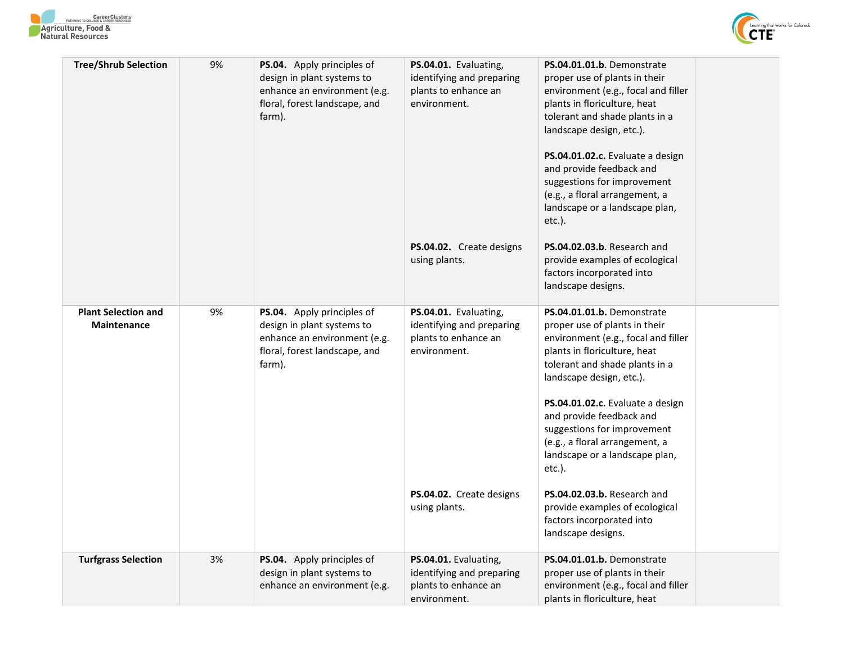



| <b>Tree/Shrub Selection</b>                      | 9% | PS.04. Apply principles of<br>design in plant systems to<br>enhance an environment (e.g.<br>floral, forest landscape, and<br>farm). | PS.04.01. Evaluating,<br>identifying and preparing<br>plants to enhance an<br>environment.<br>PS.04.02. Create designs<br>using plants. | PS.04.01.01.b. Demonstrate<br>proper use of plants in their<br>environment (e.g., focal and filler<br>plants in floriculture, heat<br>tolerant and shade plants in a<br>landscape design, etc.).<br>PS.04.01.02.c. Evaluate a design<br>and provide feedback and<br>suggestions for improvement<br>(e.g., a floral arrangement, a<br>landscape or a landscape plan,<br>$etc.$ ).<br>PS.04.02.03.b. Research and<br>provide examples of ecological<br>factors incorporated into |
|--------------------------------------------------|----|-------------------------------------------------------------------------------------------------------------------------------------|-----------------------------------------------------------------------------------------------------------------------------------------|--------------------------------------------------------------------------------------------------------------------------------------------------------------------------------------------------------------------------------------------------------------------------------------------------------------------------------------------------------------------------------------------------------------------------------------------------------------------------------|
|                                                  |    |                                                                                                                                     |                                                                                                                                         | landscape designs.                                                                                                                                                                                                                                                                                                                                                                                                                                                             |
| <b>Plant Selection and</b><br><b>Maintenance</b> | 9% | PS.04. Apply principles of<br>design in plant systems to<br>enhance an environment (e.g.<br>floral, forest landscape, and<br>farm). | PS.04.01. Evaluating,<br>identifying and preparing<br>plants to enhance an<br>environment.                                              | PS.04.01.01.b. Demonstrate<br>proper use of plants in their<br>environment (e.g., focal and filler<br>plants in floriculture, heat<br>tolerant and shade plants in a<br>landscape design, etc.).<br>PS.04.01.02.c. Evaluate a design<br>and provide feedback and<br>suggestions for improvement<br>(e.g., a floral arrangement, a<br>landscape or a landscape plan,                                                                                                            |
|                                                  |    |                                                                                                                                     | PS.04.02. Create designs<br>using plants.                                                                                               | etc.).<br>PS.04.02.03.b. Research and<br>provide examples of ecological<br>factors incorporated into<br>landscape designs.                                                                                                                                                                                                                                                                                                                                                     |
| <b>Turfgrass Selection</b>                       | 3% | PS.04. Apply principles of<br>design in plant systems to<br>enhance an environment (e.g.                                            | PS.04.01. Evaluating,<br>identifying and preparing<br>plants to enhance an<br>environment.                                              | PS.04.01.01.b. Demonstrate<br>proper use of plants in their<br>environment (e.g., focal and filler<br>plants in floriculture, heat                                                                                                                                                                                                                                                                                                                                             |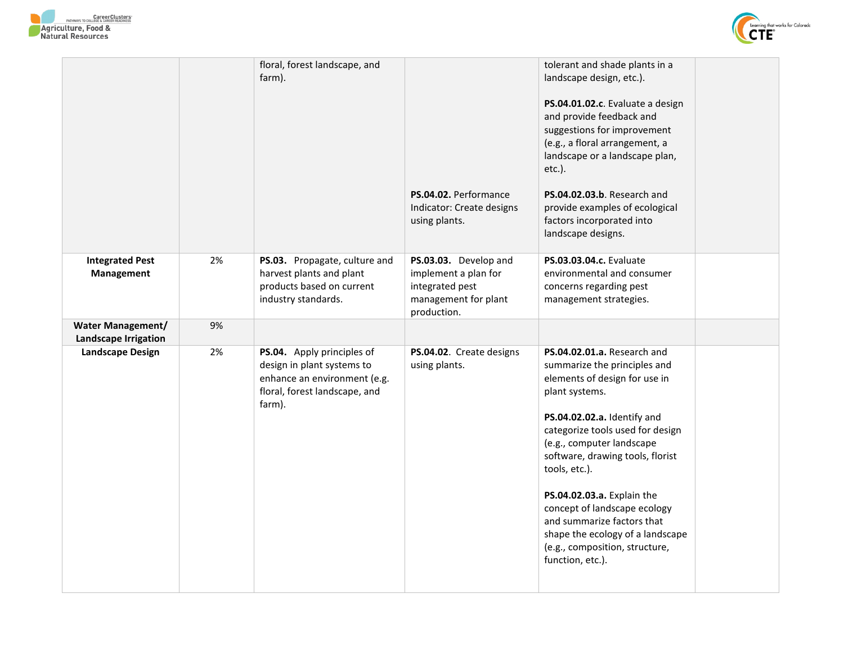



|                                                  |    | floral, forest landscape, and<br>farm).                                                                                             | PS.04.02. Performance<br>Indicator: Create designs<br>using plants.                                     | tolerant and shade plants in a<br>landscape design, etc.).<br>PS.04.01.02.c. Evaluate a design<br>and provide feedback and<br>suggestions for improvement<br>(e.g., a floral arrangement, a<br>landscape or a landscape plan,<br>etc.).<br>PS.04.02.03.b. Research and<br>provide examples of ecological<br>factors incorporated into<br>landscape designs.                                                                                               |
|--------------------------------------------------|----|-------------------------------------------------------------------------------------------------------------------------------------|---------------------------------------------------------------------------------------------------------|-----------------------------------------------------------------------------------------------------------------------------------------------------------------------------------------------------------------------------------------------------------------------------------------------------------------------------------------------------------------------------------------------------------------------------------------------------------|
| <b>Integrated Pest</b><br>Management             | 2% | PS.03. Propagate, culture and<br>harvest plants and plant<br>products based on current<br>industry standards.                       | PS.03.03. Develop and<br>implement a plan for<br>integrated pest<br>management for plant<br>production. | <b>PS.03.03.04.c.</b> Evaluate<br>environmental and consumer<br>concerns regarding pest<br>management strategies.                                                                                                                                                                                                                                                                                                                                         |
| <b>Water Management/</b><br>Landscape Irrigation | 9% |                                                                                                                                     |                                                                                                         |                                                                                                                                                                                                                                                                                                                                                                                                                                                           |
| <b>Landscape Design</b>                          | 2% | PS.04. Apply principles of<br>design in plant systems to<br>enhance an environment (e.g.<br>floral, forest landscape, and<br>farm). | PS.04.02. Create designs<br>using plants.                                                               | PS.04.02.01.a. Research and<br>summarize the principles and<br>elements of design for use in<br>plant systems.<br>PS.04.02.02.a. Identify and<br>categorize tools used for design<br>(e.g., computer landscape<br>software, drawing tools, florist<br>tools, etc.).<br>PS.04.02.03.a. Explain the<br>concept of landscape ecology<br>and summarize factors that<br>shape the ecology of a landscape<br>(e.g., composition, structure,<br>function, etc.). |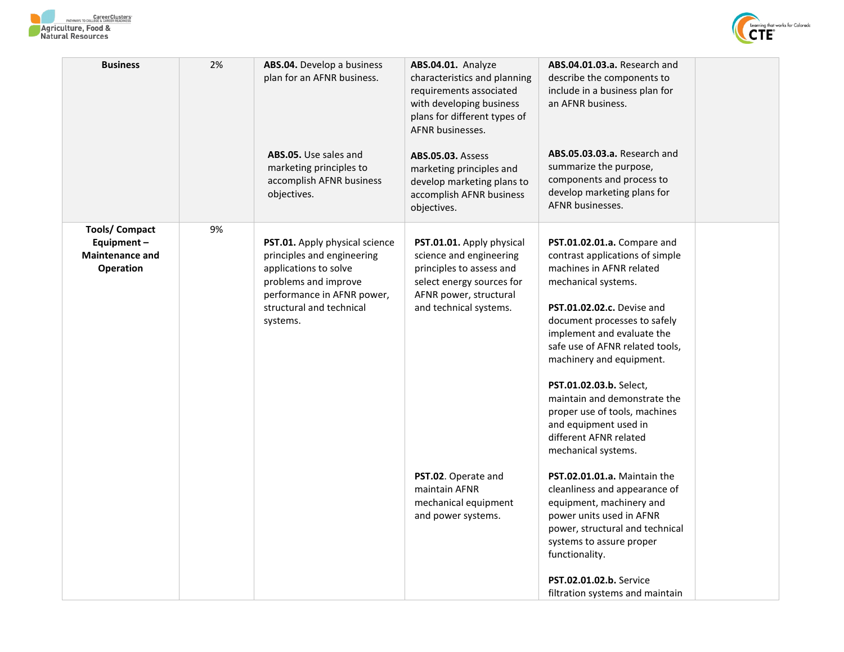



| <b>Business</b>                                                                   | 2% | ABS.04. Develop a business<br>plan for an AFNR business.<br>ABS.05. Use sales and<br>marketing principles to<br>accomplish AFNR business<br>objectives.                             | ABS.04.01. Analyze<br>characteristics and planning<br>requirements associated<br>with developing business<br>plans for different types of<br>AFNR businesses.<br><b>ABS.05.03. Assess</b><br>marketing principles and<br>develop marketing plans to<br>accomplish AFNR business<br>objectives. | ABS.04.01.03.a. Research and<br>describe the components to<br>include in a business plan for<br>an AFNR business.<br><b>ABS.05.03.03.a.</b> Research and<br>summarize the purpose,<br>components and process to<br>develop marketing plans for<br>AFNR businesses.                                                                                                                                                                                                                                                  |
|-----------------------------------------------------------------------------------|----|-------------------------------------------------------------------------------------------------------------------------------------------------------------------------------------|------------------------------------------------------------------------------------------------------------------------------------------------------------------------------------------------------------------------------------------------------------------------------------------------|---------------------------------------------------------------------------------------------------------------------------------------------------------------------------------------------------------------------------------------------------------------------------------------------------------------------------------------------------------------------------------------------------------------------------------------------------------------------------------------------------------------------|
| <b>Tools/ Compact</b><br>Equipment-<br><b>Maintenance and</b><br><b>Operation</b> | 9% | PST.01. Apply physical science<br>principles and engineering<br>applications to solve<br>problems and improve<br>performance in AFNR power,<br>structural and technical<br>systems. | PST.01.01. Apply physical<br>science and engineering<br>principles to assess and<br>select energy sources for<br>AFNR power, structural<br>and technical systems.<br>PST.02. Operate and<br>maintain AFNR                                                                                      | PST.01.02.01.a. Compare and<br>contrast applications of simple<br>machines in AFNR related<br>mechanical systems.<br>PST.01.02.02.c. Devise and<br>document processes to safely<br>implement and evaluate the<br>safe use of AFNR related tools,<br>machinery and equipment.<br>PST.01.02.03.b. Select,<br>maintain and demonstrate the<br>proper use of tools, machines<br>and equipment used in<br>different AFNR related<br>mechanical systems.<br>PST.02.01.01.a. Maintain the<br>cleanliness and appearance of |
|                                                                                   |    |                                                                                                                                                                                     | mechanical equipment<br>and power systems.                                                                                                                                                                                                                                                     | equipment, machinery and<br>power units used in AFNR<br>power, structural and technical<br>systems to assure proper<br>functionality.<br>PST.02.01.02.b. Service<br>filtration systems and maintain                                                                                                                                                                                                                                                                                                                 |